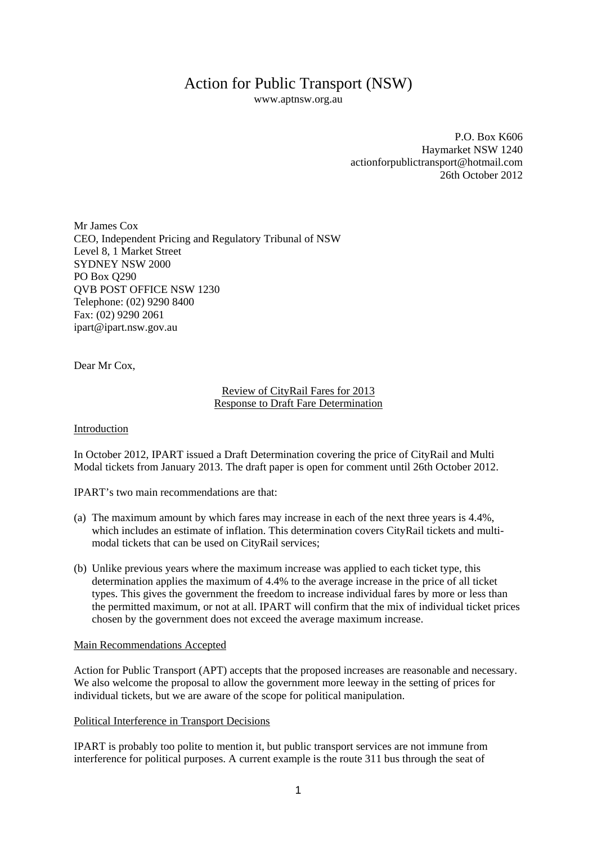# Action for Public Transport (NSW)

www.aptnsw.org.au

P.O. Box K606 Haymarket NSW 1240 actionforpublictransport@hotmail.com 26th October 2012

Mr James Cox CEO, Independent Pricing and Regulatory Tribunal of NSW Level 8, 1 Market Street SYDNEY NSW 2000 PO Box Q290 QVB POST OFFICE NSW 1230 Telephone: (02) 9290 8400 Fax: (02) 9290 2061 ipart@ipart.nsw.gov.au

Dear Mr Cox,

## Review of CityRail Fares for 2013 Response to Draft Fare Determination

Introduction

In October 2012, IPART issued a Draft Determination covering the price of CityRail and Multi Modal tickets from January 2013. The draft paper is open for comment until 26th October 2012.

IPART's two main recommendations are that:

- (a) The maximum amount by which fares may increase in each of the next three years is 4.4%, which includes an estimate of inflation. This determination covers CityRail tickets and multimodal tickets that can be used on CityRail services;
- (b) Unlike previous years where the maximum increase was applied to each ticket type, this determination applies the maximum of 4.4% to the average increase in the price of all ticket types. This gives the government the freedom to increase individual fares by more or less than the permitted maximum, or not at all. IPART will confirm that the mix of individual ticket prices chosen by the government does not exceed the average maximum increase.

#### Main Recommendations Accepted

Action for Public Transport (APT) accepts that the proposed increases are reasonable and necessary. We also welcome the proposal to allow the government more leeway in the setting of prices for individual tickets, but we are aware of the scope for political manipulation.

## Political Interference in Transport Decisions

IPART is probably too polite to mention it, but public transport services are not immune from interference for political purposes. A current example is the route 311 bus through the seat of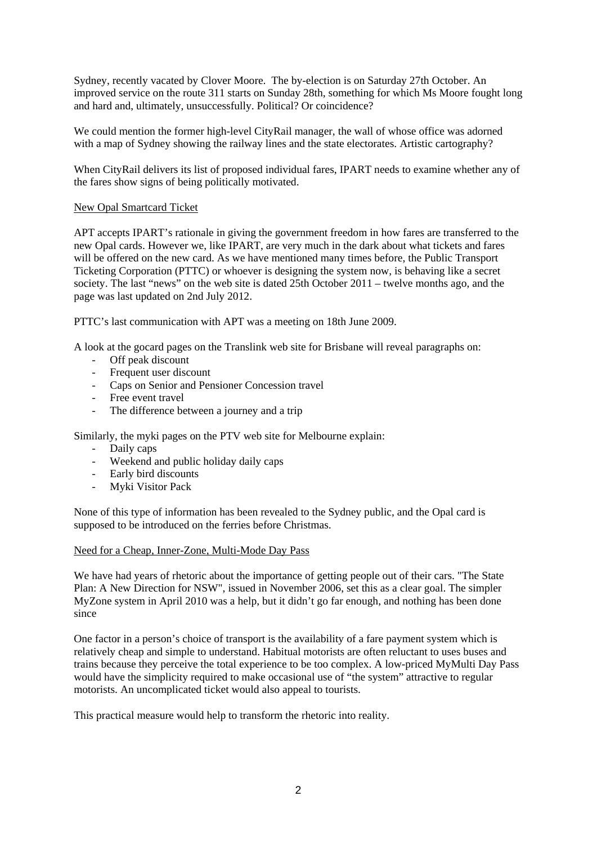Sydney, recently vacated by Clover Moore. The by-election is on Saturday 27th October. An improved service on the route 311 starts on Sunday 28th, something for which Ms Moore fought long and hard and, ultimately, unsuccessfully. Political? Or coincidence?

We could mention the former high-level CityRail manager, the wall of whose office was adorned with a map of Sydney showing the railway lines and the state electorates. Artistic cartography?

When CityRail delivers its list of proposed individual fares, IPART needs to examine whether any of the fares show signs of being politically motivated.

### New Opal Smartcard Ticket

APT accepts IPART's rationale in giving the government freedom in how fares are transferred to the new Opal cards. However we, like IPART, are very much in the dark about what tickets and fares will be offered on the new card. As we have mentioned many times before, the Public Transport Ticketing Corporation (PTTC) or whoever is designing the system now, is behaving like a secret society. The last "news" on the web site is dated 25th October 2011 – twelve months ago, and the page was last updated on 2nd July 2012.

PTTC's last communication with APT was a meeting on 18th June 2009.

A look at the gocard pages on the Translink web site for Brisbane will reveal paragraphs on:

- Off peak discount
- Frequent user discount
- Caps on Senior and Pensioner Concession travel
- Free event travel
- The difference between a journey and a trip

Similarly, the myki pages on the PTV web site for Melbourne explain:

- Daily caps
- Weekend and public holiday daily caps
- Early bird discounts
- Myki Visitor Pack

None of this type of information has been revealed to the Sydney public, and the Opal card is supposed to be introduced on the ferries before Christmas.

#### Need for a Cheap, Inner-Zone, Multi-Mode Day Pass

We have had years of rhetoric about the importance of getting people out of their cars. "The State Plan: A New Direction for NSW", issued in November 2006, set this as a clear goal. The simpler MyZone system in April 2010 was a help, but it didn't go far enough, and nothing has been done since

One factor in a person's choice of transport is the availability of a fare payment system which is relatively cheap and simple to understand. Habitual motorists are often reluctant to uses buses and trains because they perceive the total experience to be too complex. A low-priced MyMulti Day Pass would have the simplicity required to make occasional use of "the system" attractive to regular motorists. An uncomplicated ticket would also appeal to tourists.

This practical measure would help to transform the rhetoric into reality.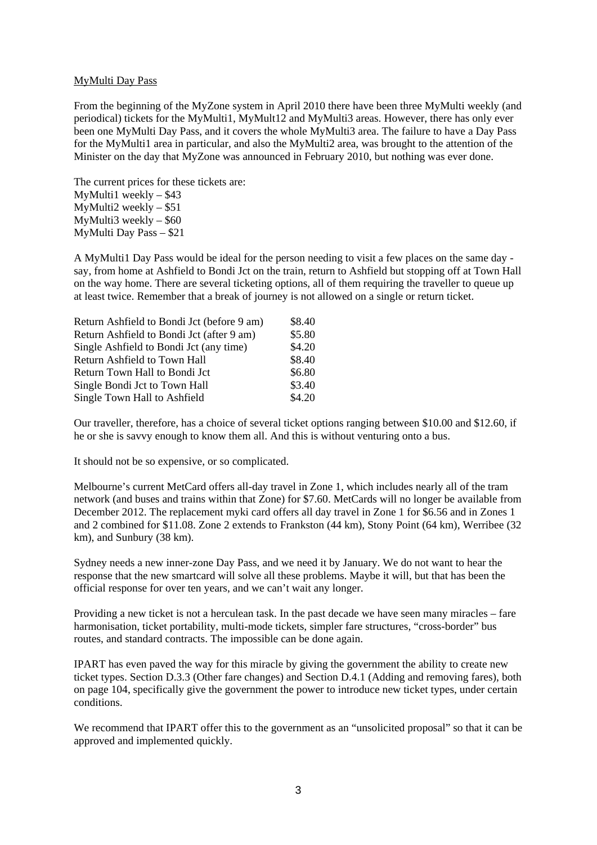### MyMulti Day Pass

From the beginning of the MyZone system in April 2010 there have been three MyMulti weekly (and periodical) tickets for the MyMulti1, MyMult12 and MyMulti3 areas. However, there has only ever been one MyMulti Day Pass, and it covers the whole MyMulti3 area. The failure to have a Day Pass for the MyMulti1 area in particular, and also the MyMulti2 area, was brought to the attention of the Minister on the day that MyZone was announced in February 2010, but nothing was ever done.

The current prices for these tickets are: MyMulti1 weekly – \$43 MyMulti2 weekly – \$51 MyMulti3 weekly – \$60 MyMulti Day Pass – \$21

A MyMulti1 Day Pass would be ideal for the person needing to visit a few places on the same day say, from home at Ashfield to Bondi Jct on the train, return to Ashfield but stopping off at Town Hall on the way home. There are several ticketing options, all of them requiring the traveller to queue up at least twice. Remember that a break of journey is not allowed on a single or return ticket.

| Return Ashfield to Bondi Jct (before 9 am) | \$8.40 |
|--------------------------------------------|--------|
| Return Ashfield to Bondi Jct (after 9 am)  | \$5.80 |
| Single Ashfield to Bondi Jct (any time)    | \$4.20 |
| Return Ashfield to Town Hall               | \$8.40 |
| Return Town Hall to Bondi Jct              | \$6.80 |
| Single Bondi Jct to Town Hall              | \$3.40 |
| Single Town Hall to Ashfield               | \$4.20 |

Our traveller, therefore, has a choice of several ticket options ranging between \$10.00 and \$12.60, if he or she is savvy enough to know them all. And this is without venturing onto a bus.

It should not be so expensive, or so complicated.

Melbourne's current MetCard offers all-day travel in Zone 1, which includes nearly all of the tram network (and buses and trains within that Zone) for \$7.60. MetCards will no longer be available from December 2012. The replacement myki card offers all day travel in Zone 1 for \$6.56 and in Zones 1 and 2 combined for \$11.08. Zone 2 extends to Frankston (44 km), Stony Point (64 km), Werribee (32 km), and Sunbury (38 km).

Sydney needs a new inner-zone Day Pass, and we need it by January. We do not want to hear the response that the new smartcard will solve all these problems. Maybe it will, but that has been the official response for over ten years, and we can't wait any longer.

Providing a new ticket is not a herculean task. In the past decade we have seen many miracles – fare harmonisation, ticket portability, multi-mode tickets, simpler fare structures, "cross-border" bus routes, and standard contracts. The impossible can be done again.

IPART has even paved the way for this miracle by giving the government the ability to create new ticket types. Section D.3.3 (Other fare changes) and Section D.4.1 (Adding and removing fares), both on page 104, specifically give the government the power to introduce new ticket types, under certain conditions.

We recommend that IPART offer this to the government as an "unsolicited proposal" so that it can be approved and implemented quickly.